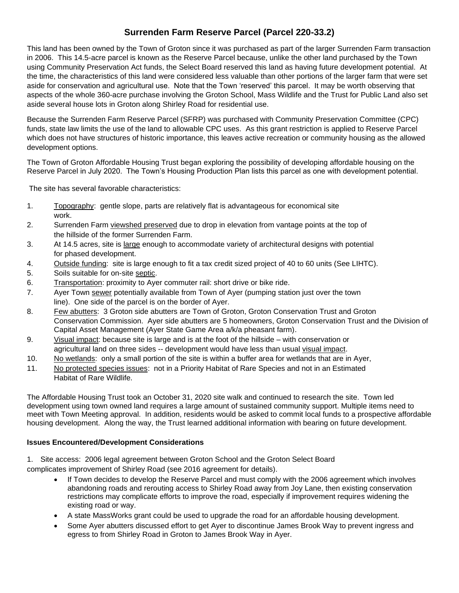## **Surrenden Farm Reserve Parcel (Parcel 220-33.2)**

This land has been owned by the Town of Groton since it was purchased as part of the larger Surrenden Farm transaction in 2006. This 14.5-acre parcel is known as the Reserve Parcel because, unlike the other land purchased by the Town using Community Preservation Act funds, the Select Board reserved this land as having future development potential. At the time, the characteristics of this land were considered less valuable than other portions of the larger farm that were set aside for conservation and agricultural use. Note that the Town 'reserved' this parcel. It may be worth observing that aspects of the whole 360-acre purchase involving the Groton School, Mass Wildlife and the Trust for Public Land also set aside several house lots in Groton along Shirley Road for residential use.

Because the Surrenden Farm Reserve Parcel (SFRP) was purchased with Community Preservation Committee (CPC) funds, state law limits the use of the land to allowable CPC uses. As this grant restriction is applied to Reserve Parcel which does not have structures of historic importance, this leaves active recreation or community housing as the allowed development options.

The Town of Groton Affordable Housing Trust began exploring the possibility of developing affordable housing on the Reserve Parcel in July 2020. The Town's Housing Production Plan lists this parcel as one with development potential.

The site has several favorable characteristics:

- 1. Topography: gentle slope, parts are relatively flat is advantageous for economical site work.
- 2. Surrenden Farm viewshed preserved due to drop in elevation from vantage points at the top of the hillside of the former Surrenden Farm.
- 3. At 14.5 acres, site is large enough to accommodate variety of architectural designs with potential for phased development.
- 4. Outside funding: site is large enough to fit a tax credit sized project of 40 to 60 units (See LIHTC).
- 5. Soils suitable for on-site septic.
- 6. Transportation: proximity to Ayer commuter rail: short drive or bike ride.
- 7. Ayer Town sewer potentially available from Town of Ayer (pumping station just over the town line). One side of the parcel is on the border of Ayer.
- 8. Few abutters: 3 Groton side abutters are Town of Groton, Groton Conservation Trust and Groton Conservation Commission. Ayer side abutters are 5 homeowners, Groton Conservation Trust and the Division of Capital Asset Management (Ayer State Game Area a/k/a pheasant farm).
- 9. Visual impact: because site is large and is at the foot of the hillside with conservation or agricultural land on three sides -- development would have less than usual visual impact.
- 10. No wetlands: only a small portion of the site is within a buffer area for wetlands that are in Ayer,
- 11. No protected species issues: not in a Priority Habitat of Rare Species and not in an Estimated Habitat of Rare Wildlife.

The Affordable Housing Trust took an October 31, 2020 site walk and continued to research the site. Town led development using town owned land requires a large amount of sustained community support. Multiple items need to meet with Town Meeting approval. In addition, residents would be asked to commit local funds to a prospective affordable housing development. Along the way, the Trust learned additional information with bearing on future development.

## **Issues Encountered/Development Considerations**

1. Site access: 2006 legal agreement between Groton School and the Groton Select Board complicates improvement of Shirley Road (see 2016 agreement for details).

- If Town decides to develop the Reserve Parcel and must comply with the 2006 agreement which involves abandoning roads and rerouting access to Shirley Road away from Joy Lane, then existing conservation restrictions may complicate efforts to improve the road, especially if improvement requires widening the existing road or way.
- A state MassWorks grant could be used to upgrade the road for an affordable housing development.
- Some Ayer abutters discussed effort to get Ayer to discontinue James Brook Way to prevent ingress and egress to from Shirley Road in Groton to James Brook Way in Ayer.